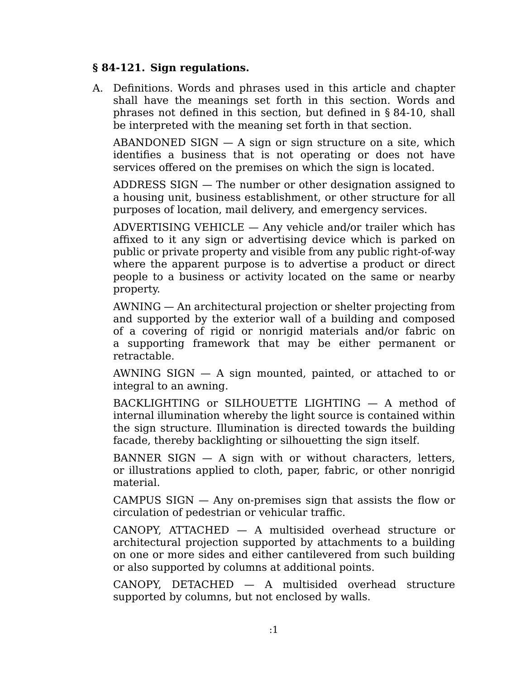## **§ 84-121. Sign regulations.**

Definitions. Words and phrases used in this article and chapter A. shall have the meanings set forth in this section. Words and phrases not defined in this section, but defined in § 84-10, shall be interpreted with the meaning set forth in that section.

 $ABANDONED$  SIGN  $-$  A sign or sign structure on a site, which identifies a business that is not operating or does not have services offered on the premises on which the sign is located.

ADDRESS SIGN — The number or other designation assigned to a housing unit, business establishment, or other structure for all purposes of location, mail delivery, and emergency services.

ADVERTISING VEHICLE — Any vehicle and/or trailer which has affixed to it any sign or advertising device which is parked on public or private property and visible from any public right-of-way where the apparent purpose is to advertise a product or direct people to a business or activity located on the same or nearby property.

AWNING — An architectural projection or shelter projecting from and supported by the exterior wall of a building and composed of a covering of rigid or nonrigid materials and/or fabric on a supporting framework that may be either permanent or retractable.

AWNING SIGN  $-$  A sign mounted, painted, or attached to or integral to an awning.

BACKLIGHTING or SILHOUETTE LIGHTING — A method of internal illumination whereby the light source is contained within the sign structure. Illumination is directed towards the building facade, thereby backlighting or silhouetting the sign itself.

BANNER SIGN  $-$  A sign with or without characters, letters, or illustrations applied to cloth, paper, fabric, or other nonrigid material.

CAMPUS SIGN — Any on-premises sign that assists the flow or circulation of pedestrian or vehicular traffic.

CANOPY, ATTACHED — A multisided overhead structure or architectural projection supported by attachments to a building on one or more sides and either cantilevered from such building or also supported by columns at additional points.

CANOPY, DETACHED — A multisided overhead structure supported by columns, but not enclosed by walls.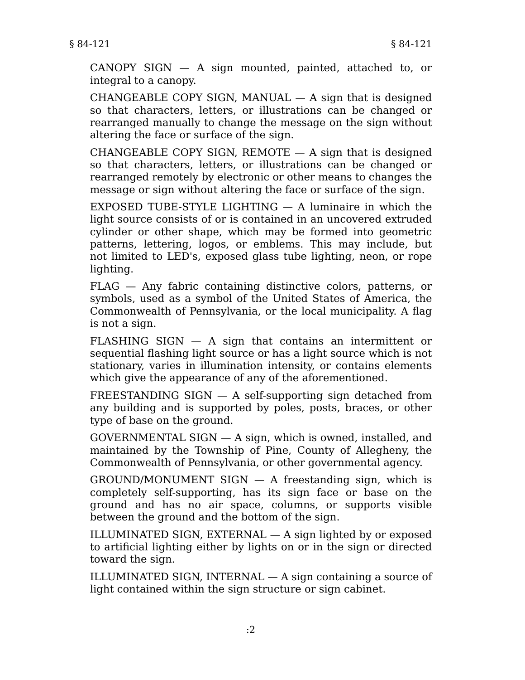CANOPY SIGN  $-$  A sign mounted, painted, attached to, or integral to a canopy.

CHANGEABLE COPY SIGN, MANUAL  $-$  A sign that is designed so that characters, letters, or illustrations can be changed or rearranged manually to change the message on the sign without altering the face or surface of the sign.

CHANGEABLE COPY SIGN,  $REMOTE - A$  sign that is designed so that characters, letters, or illustrations can be changed or rearranged remotely by electronic or other means to changes the message or sign without altering the face or surface of the sign.

EXPOSED TUBE-STYLE LIGHTING  $-$  A luminaire in which the light source consists of or is contained in an uncovered extruded cylinder or other shape, which may be formed into geometric patterns, lettering, logos, or emblems. This may include, but not limited to LED's, exposed glass tube lighting, neon, or rope lighting.

FLAG — Any fabric containing distinctive colors, patterns, or symbols, used as a symbol of the United States of America, the Commonwealth of Pennsylvania, or the local municipality. A flag is not a sign.

FLASHING SIGN  $-$  A sign that contains an intermittent or sequential flashing light source or has a light source which is not stationary, varies in illumination intensity, or contains elements which give the appearance of any of the aforementioned.

FREESTANDING SIGN — A self-supporting sign detached from any building and is supported by poles, posts, braces, or other type of base on the ground.

GOVERNMENTAL SIGN — A sign, which is owned, installed, and maintained by the Township of Pine, County of Allegheny, the Commonwealth of Pennsylvania, or other governmental agency.

GROUND/MONUMENT SIGN — A freestanding sign, which is completely self-supporting, has its sign face or base on the ground and has no air space, columns, or supports visible between the ground and the bottom of the sign.

ILLUMINATED SIGN,  $EXTERNAL - A$  sign lighted by or exposed to artificial lighting either by lights on or in the sign or directed toward the sign.

ILLUMINATED SIGN, INTERNAL — A sign containing a source of light contained within the sign structure or sign cabinet.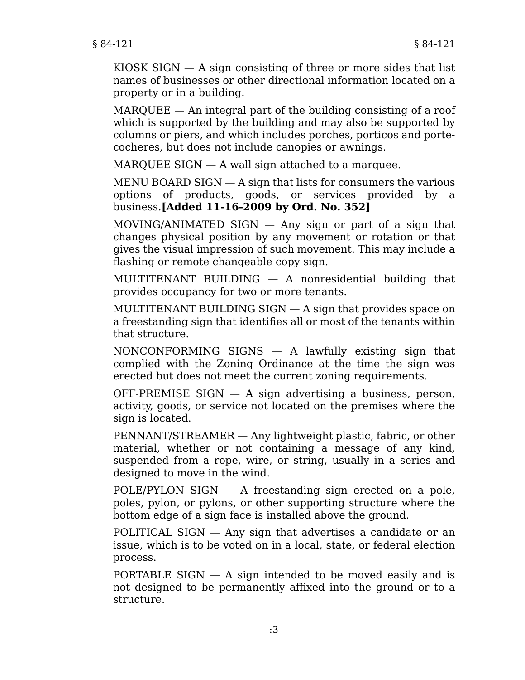KIOSK SIGN  $-$  A sign consisting of three or more sides that list names of businesses or other directional information located on a property or in a building.

MARQUEE — An integral part of the building consisting of a roof which is supported by the building and may also be supported by columns or piers, and which includes porches, porticos and portecocheres, but does not include canopies or awnings.

MARQUEE SIGN — A wall sign attached to a marquee.

MENU BOARD SIGN  $-$  A sign that lists for consumers the various options of products, goods, or services provided by a business.**[Added 11-16-2009 by Ord. No. 352]**

MOVING/ANIMATED SIGN — Any sign or part of a sign that changes physical position by any movement or rotation or that gives the visual impression of such movement. This may include a flashing or remote changeable copy sign.

MULTITENANT BUILDING — A nonresidential building that provides occupancy for two or more tenants.

MULTITENANT BUILDING SIGN — A sign that provides space on a freestanding sign that identifies all or most of the tenants within that structure.

NONCONFORMING SIGNS — A lawfully existing sign that complied with the Zoning Ordinance at the time the sign was erected but does not meet the current zoning requirements.

OFF-PREMISE SIGN — A sign advertising a business, person, activity, goods, or service not located on the premises where the sign is located.

PENNANT/STREAMER — Any lightweight plastic, fabric, or other material, whether or not containing a message of any kind, suspended from a rope, wire, or string, usually in a series and designed to move in the wind.

POLE/PYLON SIGN — A freestanding sign erected on a pole, poles, pylon, or pylons, or other supporting structure where the bottom edge of a sign face is installed above the ground.

POLITICAL SIGN — Any sign that advertises a candidate or an issue, which is to be voted on in a local, state, or federal election process.

PORTABLE SIGN — A sign intended to be moved easily and is not designed to be permanently affixed into the ground or to a structure.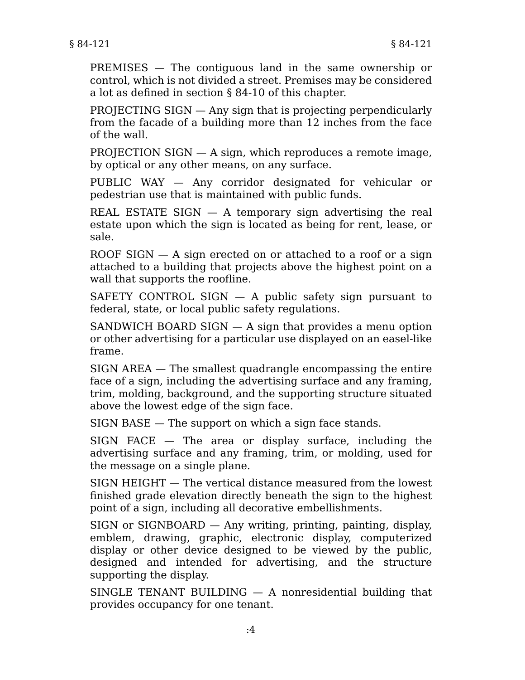PREMISES — The contiguous land in the same ownership or control, which is not divided a street. Premises may be considered a lot as defined in section § 84-10 of this chapter.

PROJECTING SIGN — Any sign that is projecting perpendicularly from the facade of a building more than 12 inches from the face of the wall.

PROJECTION SIGN — A sign, which reproduces a remote image, by optical or any other means, on any surface.

PUBLIC WAY — Any corridor designated for vehicular or pedestrian use that is maintained with public funds.

REAL ESTATE SIGN  $-$  A temporary sign advertising the real estate upon which the sign is located as being for rent, lease, or sale.

ROOF SIGN  $-$  A sign erected on or attached to a roof or a sign attached to a building that projects above the highest point on a wall that supports the roofline.

SAFETY CONTROL SIGN  $-$  A public safety sign pursuant to federal, state, or local public safety regulations.

SANDWICH BOARD SIGN — A sign that provides a menu option or other advertising for a particular use displayed on an easel-like frame.

SIGN AREA — The smallest quadrangle encompassing the entire face of a sign, including the advertising surface and any framing, trim, molding, background, and the supporting structure situated above the lowest edge of the sign face.

SIGN BASE — The support on which a sign face stands.

SIGN FACE — The area or display surface, including the advertising surface and any framing, trim, or molding, used for the message on a single plane.

SIGN HEIGHT — The vertical distance measured from the lowest finished grade elevation directly beneath the sign to the highest point of a sign, including all decorative embellishments.

SIGN or SIGNBOARD — Any writing, printing, painting, display, emblem, drawing, graphic, electronic display, computerized display or other device designed to be viewed by the public, designed and intended for advertising, and the structure supporting the display.

SINGLE TENANT BUILDING — A nonresidential building that provides occupancy for one tenant.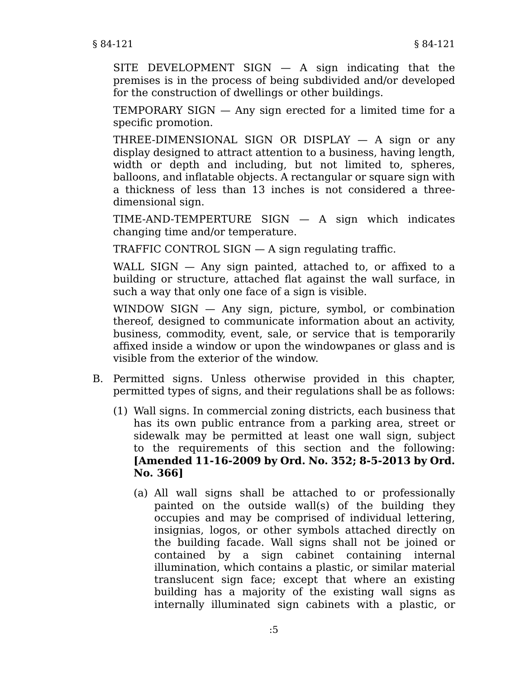SITE DEVELOPMENT SIGN — A sign indicating that the premises is in the process of being subdivided and/or developed for the construction of dwellings or other buildings.

TEMPORARY SIGN — Any sign erected for a limited time for a specific promotion.

THREE-DIMENSIONAL SIGN OR DISPLAY  $-$  A sign or any display designed to attract attention to a business, having length, width or depth and including, but not limited to, spheres, balloons, and inflatable objects. A rectangular or square sign with a thickness of less than 13 inches is not considered a threedimensional sign.

TIME-AND-TEMPERTURE SIGN — A sign which indicates changing time and/or temperature.

TRAFFIC CONTROL SIGN — A sign regulating traffic.

WALL SIGN  $-$  Any sign painted, attached to, or affixed to a building or structure, attached flat against the wall surface, in such a way that only one face of a sign is visible.

WINDOW SIGN — Any sign, picture, symbol, or combination thereof, designed to communicate information about an activity, business, commodity, event, sale, or service that is temporarily affixed inside a window or upon the windowpanes or glass and is visible from the exterior of the window.

- B. Permitted signs. Unless otherwise provided in this chapter, permitted types of signs, and their regulations shall be as follows:
	- Wall signs. In commercial zoning districts, each business that (1) has its own public entrance from a parking area, street or sidewalk may be permitted at least one wall sign, subject to the requirements of this section and the following: **[Amended 11-16-2009 by Ord. No. 352; 8-5-2013 by Ord. No. 366]**
		- All wall signs shall be attached to or professionally (a) painted on the outside wall(s) of the building they occupies and may be comprised of individual lettering, insignias, logos, or other symbols attached directly on the building facade. Wall signs shall not be joined or contained by a sign cabinet containing internal illumination, which contains a plastic, or similar material translucent sign face; except that where an existing building has a majority of the existing wall signs as internally illuminated sign cabinets with a plastic, or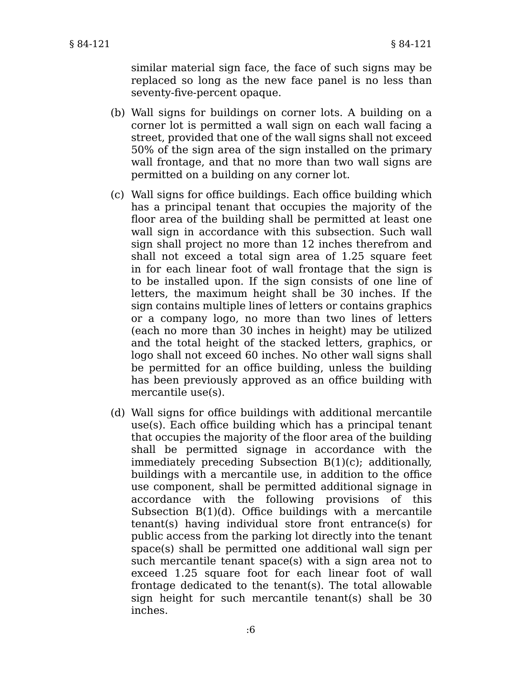similar material sign face, the face of such signs may be replaced so long as the new face panel is no less than seventy-five-percent opaque.

- Wall signs for buildings on corner lots. A building on a (b) corner lot is permitted a wall sign on each wall facing a street, provided that one of the wall signs shall not exceed 50% of the sign area of the sign installed on the primary wall frontage, and that no more than two wall signs are permitted on a building on any corner lot.
- Wall signs for office buildings. Each office building which (c) has a principal tenant that occupies the majority of the floor area of the building shall be permitted at least one wall sign in accordance with this subsection. Such wall sign shall project no more than 12 inches therefrom and shall not exceed a total sign area of 1.25 square feet in for each linear foot of wall frontage that the sign is to be installed upon. If the sign consists of one line of letters, the maximum height shall be 30 inches. If the sign contains multiple lines of letters or contains graphics or a company logo, no more than two lines of letters (each no more than 30 inches in height) may be utilized and the total height of the stacked letters, graphics, or logo shall not exceed 60 inches. No other wall signs shall be permitted for an office building, unless the building has been previously approved as an office building with mercantile use(s).
- Wall signs for office buildings with additional mercantile (d) use(s). Each office building which has a principal tenant that occupies the majority of the floor area of the building shall be permitted signage in accordance with the immediately preceding Subsection B(1)(c); additionally, buildings with a mercantile use, in addition to the office use component, shall be permitted additional signage in accordance with the following provisions of this Subsection B(1)(d). Office buildings with a mercantile tenant(s) having individual store front entrance(s) for public access from the parking lot directly into the tenant space(s) shall be permitted one additional wall sign per such mercantile tenant space(s) with a sign area not to exceed 1.25 square foot for each linear foot of wall frontage dedicated to the tenant(s). The total allowable sign height for such mercantile tenant(s) shall be 30 inches.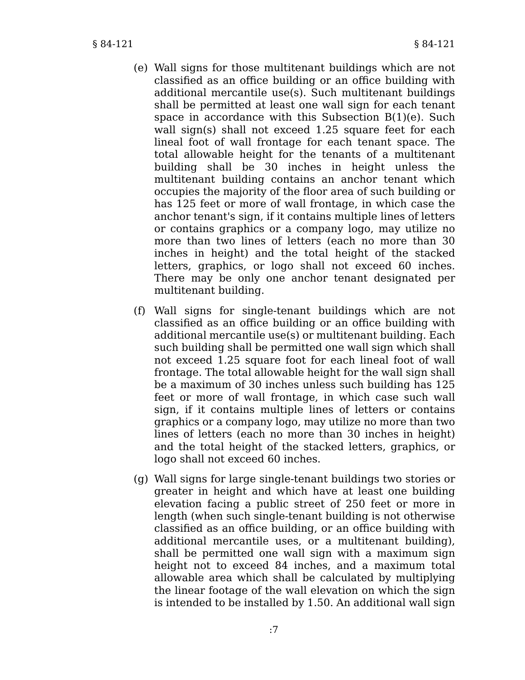- Wall signs for those multitenant buildings which are not (e) classified as an office building or an office building with additional mercantile use(s). Such multitenant buildings shall be permitted at least one wall sign for each tenant space in accordance with this Subsection B(1)(e). Such wall sign(s) shall not exceed 1.25 square feet for each lineal foot of wall frontage for each tenant space. The total allowable height for the tenants of a multitenant building shall be 30 inches in height unless the multitenant building contains an anchor tenant which occupies the majority of the floor area of such building or has 125 feet or more of wall frontage, in which case the anchor tenant's sign, if it contains multiple lines of letters or contains graphics or a company logo, may utilize no more than two lines of letters (each no more than 30 inches in height) and the total height of the stacked letters, graphics, or logo shall not exceed 60 inches. There may be only one anchor tenant designated per multitenant building.
- Wall signs for single-tenant buildings which are not (f) classified as an office building or an office building with additional mercantile use(s) or multitenant building. Each such building shall be permitted one wall sign which shall not exceed 1.25 square foot for each lineal foot of wall frontage. The total allowable height for the wall sign shall be a maximum of 30 inches unless such building has 125 feet or more of wall frontage, in which case such wall sign, if it contains multiple lines of letters or contains graphics or a company logo, may utilize no more than two lines of letters (each no more than 30 inches in height) and the total height of the stacked letters, graphics, or logo shall not exceed 60 inches.
- Wall signs for large single-tenant buildings two stories or (g) greater in height and which have at least one building elevation facing a public street of 250 feet or more in length (when such single-tenant building is not otherwise classified as an office building, or an office building with additional mercantile uses, or a multitenant building), shall be permitted one wall sign with a maximum sign height not to exceed 84 inches, and a maximum total allowable area which shall be calculated by multiplying the linear footage of the wall elevation on which the sign is intended to be installed by 1.50. An additional wall sign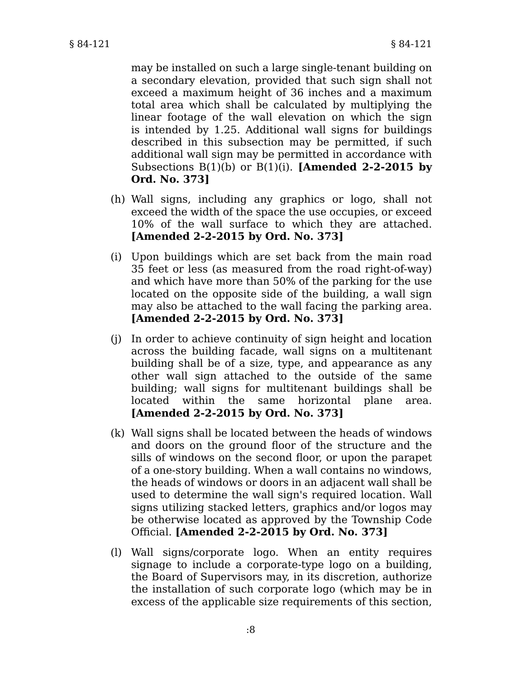may be installed on such a large single-tenant building on a secondary elevation, provided that such sign shall not exceed a maximum height of 36 inches and a maximum total area which shall be calculated by multiplying the linear footage of the wall elevation on which the sign is intended by 1.25. Additional wall signs for buildings described in this subsection may be permitted, if such additional wall sign may be permitted in accordance with Subsections B(1)(b) or B(1)(i). **[Amended 2-2-2015 by Ord. No. 373]**

- Wall signs, including any graphics or logo, shall not (h) exceed the width of the space the use occupies, or exceed 10% of the wall surface to which they are attached. **[Amended 2-2-2015 by Ord. No. 373]**
- (i) Upon buildings which are set back from the main road 35 feet or less (as measured from the road right-of-way) and which have more than 50% of the parking for the use located on the opposite side of the building, a wall sign may also be attached to the wall facing the parking area. **[Amended 2-2-2015 by Ord. No. 373]**
- (j) In order to achieve continuity of sign height and location across the building facade, wall signs on a multitenant building shall be of a size, type, and appearance as any other wall sign attached to the outside of the same building; wall signs for multitenant buildings shall be located within the same horizontal plane area. **[Amended 2-2-2015 by Ord. No. 373]**
- Wall signs shall be located between the heads of windows (k) and doors on the ground floor of the structure and the sills of windows on the second floor, or upon the parapet of a one-story building. When a wall contains no windows, the heads of windows or doors in an adjacent wall shall be used to determine the wall sign's required location. Wall signs utilizing stacked letters, graphics and/or logos may be otherwise located as approved by the Township Code Official. **[Amended 2-2-2015 by Ord. No. 373]**
- Wall signs/corporate logo. When an entity requires (l) signage to include a corporate-type logo on a building, the Board of Supervisors may, in its discretion, authorize the installation of such corporate logo (which may be in excess of the applicable size requirements of this section,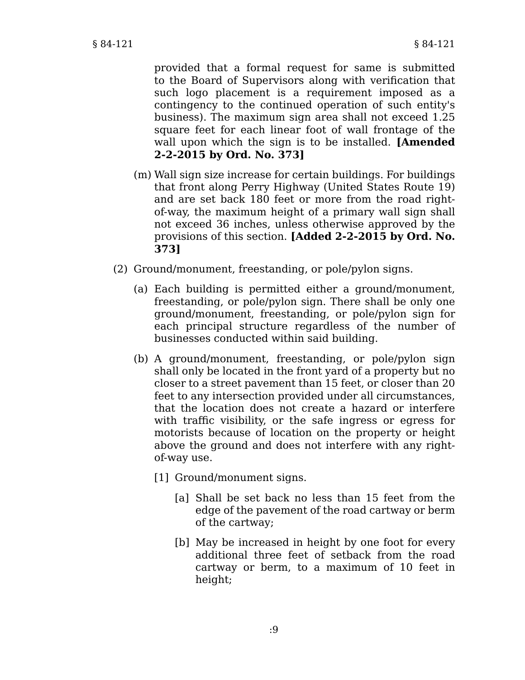provided that a formal request for same is submitted to the Board of Supervisors along with verification that such logo placement is a requirement imposed as a contingency to the continued operation of such entity's business). The maximum sign area shall not exceed 1.25 square feet for each linear foot of wall frontage of the wall upon which the sign is to be installed. **[Amended 2-2-2015 by Ord. No. 373]**

- Wall sign size increase for certain buildings. For buildings (m) that front along Perry Highway (United States Route 19) and are set back 180 feet or more from the road rightof-way, the maximum height of a primary wall sign shall not exceed 36 inches, unless otherwise approved by the provisions of this section. **[Added 2-2-2015 by Ord. No. 373]**
- (2) Ground/monument, freestanding, or pole/pylon signs.
	- (a) Each building is permitted either a ground/monument, freestanding, or pole/pylon sign. There shall be only one ground/monument, freestanding, or pole/pylon sign for each principal structure regardless of the number of businesses conducted within said building.
	- (b) A ground/monument, freestanding, or pole/pylon sign shall only be located in the front yard of a property but no closer to a street pavement than 15 feet, or closer than 20 feet to any intersection provided under all circumstances, that the location does not create a hazard or interfere with traffic visibility, or the safe ingress or egress for motorists because of location on the property or height above the ground and does not interfere with any rightof-way use.
		- [1] Ground/monument signs.
			- [a] Shall be set back no less than 15 feet from the edge of the pavement of the road cartway or berm of the cartway;
			- [b] May be increased in height by one foot for every additional three feet of setback from the road cartway or berm, to a maximum of 10 feet in height;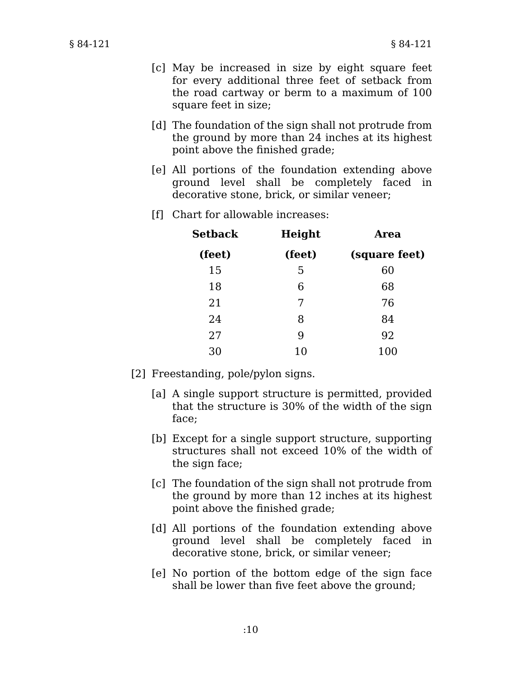- May be increased in size by eight square feet [c] for every additional three feet of setback from the road cartway or berm to a maximum of 100 square feet in size;
- [d] The foundation of the sign shall not protrude from the ground by more than 24 inches at its highest point above the finished grade;
- All portions of the foundation extending above [e] ground level shall be completely faced in decorative stone, brick, or similar veneer;
- Chart for allowable increases: [f]

| Setback<br>(feet) | Height<br>(feet) | Area          |  |
|-------------------|------------------|---------------|--|
|                   |                  | (square feet) |  |
| 15                | 5                | 60            |  |
| 18                | 6                | 68            |  |
| 21                | 7                | 76            |  |
| 24                | 8                | 84            |  |
| 27                | 9                | 92            |  |
| 30                | 10               | 100           |  |

- [2] Freestanding, pole/pylon signs.
	- [a] A single support structure is permitted, provided that the structure is 30% of the width of the sign face;
	- [b] Except for a single support structure, supporting structures shall not exceed 10% of the width of the sign face;
	- [c] The foundation of the sign shall not protrude from the ground by more than 12 inches at its highest point above the finished grade;
	- All portions of the foundation extending above [d] ground level shall be completely faced in decorative stone, brick, or similar veneer;
	- [e] No portion of the bottom edge of the sign face shall be lower than five feet above the ground;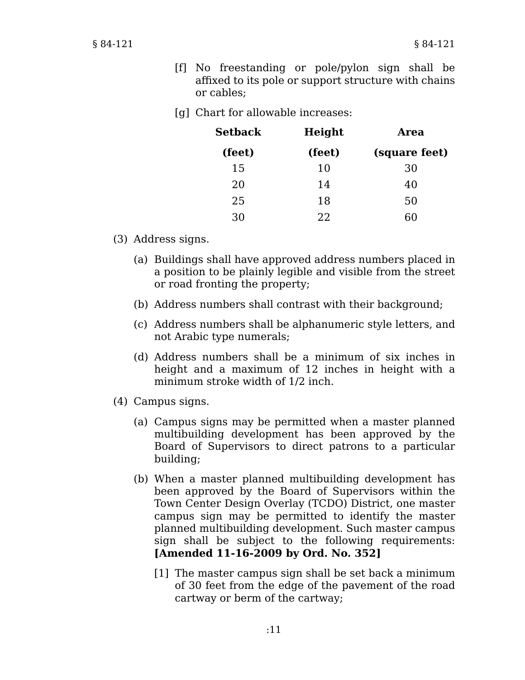[g] Chart for allowable increases:

| Setback | Height | Area          |  |
|---------|--------|---------------|--|
| (feet)  | (feet) | (square feet) |  |
| 15      | 10     | 30            |  |
| 20      | 14     | 40            |  |
| 25      | 18     | 50            |  |
| 30      | フフ     | 60            |  |

- (3) Address signs.
	- (a) Buildings shall have approved address numbers placed in a position to be plainly legible and visible from the street or road fronting the property;
	- (b) Address numbers shall contrast with their background;
	- Address numbers shall be alphanumeric style letters, and (c) not Arabic type numerals;
	- (d) Address numbers shall be a minimum of six inches in height and a maximum of 12 inches in height with a minimum stroke width of 1/2 inch.
- Campus signs. (4)
	- Campus signs may be permitted when a master planned (a) multibuilding development has been approved by the Board of Supervisors to direct patrons to a particular building;
	- When a master planned multibuilding development has (b) been approved by the Board of Supervisors within the Town Center Design Overlay (TCDO) District, one master campus sign may be permitted to identify the master planned multibuilding development. Such master campus sign shall be subject to the following requirements: **[Amended 11-16-2009 by Ord. No. 352]**
		- [1] The master campus sign shall be set back a minimum of 30 feet from the edge of the pavement of the road cartway or berm of the cartway;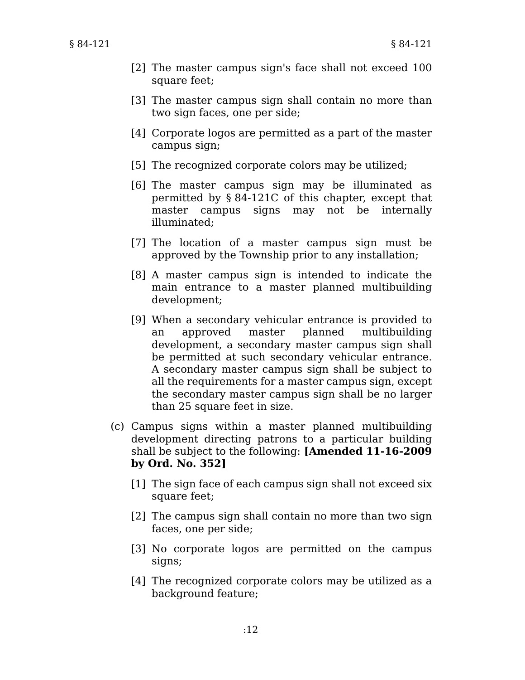- [2] The master campus sign's face shall not exceed 100 square feet;
- [3] The master campus sign shall contain no more than two sign faces, one per side;
- [4] Corporate logos are permitted as a part of the master campus sign;
- [5] The recognized corporate colors may be utilized;
- [6] The master campus sign may be illuminated as permitted by § 84-121C of this chapter, except that master campus signs may not be internally illuminated;
- [7] The location of a master campus sign must be approved by the Township prior to any installation;
- [8] A master campus sign is intended to indicate the main entrance to a master planned multibuilding development;
- When a secondary vehicular entrance is provided to [9] an approved master planned multibuilding development, a secondary master campus sign shall be permitted at such secondary vehicular entrance. A secondary master campus sign shall be subject to all the requirements for a master campus sign, except the secondary master campus sign shall be no larger than 25 square feet in size.
- (c) Campus signs within a master planned multibuilding development directing patrons to a particular building shall be subject to the following: **[Amended 11-16-2009 by Ord. No. 352]**
	- [1] The sign face of each campus sign shall not exceed six square feet;
	- [2] The campus sign shall contain no more than two sign faces, one per side;
	- [3] No corporate logos are permitted on the campus signs;
	- [4] The recognized corporate colors may be utilized as a background feature;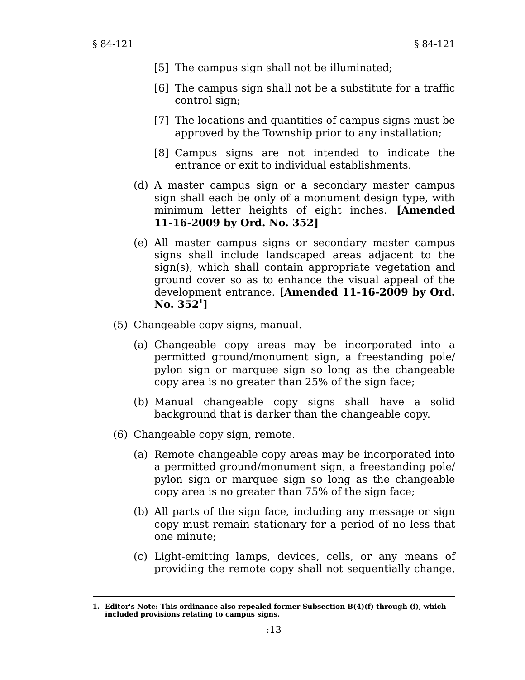- [5] The campus sign shall not be illuminated;
- [6] The campus sign shall not be a substitute for a traffic control sign;
- [7] The locations and quantities of campus signs must be approved by the Township prior to any installation;
- [8] Campus signs are not intended to indicate the entrance or exit to individual establishments.
- (d) A master campus sign or a secondary master campus sign shall each be only of a monument design type, with minimum letter heights of eight inches. **[Amended 11-16-2009 by Ord. No. 352]**
- All master campus signs or secondary master campus (e) signs shall include landscaped areas adjacent to the sign(s), which shall contain appropriate vegetation and ground cover so as to enhance the visual appeal of the development entrance. **[Amended 11-16-2009 by Ord. No. 352<sup>1</sup> ]**
- Changeable copy signs, manual. (5)
	- (a) Changeable copy areas may be incorporated into a permitted ground/monument sign, a freestanding pole/ pylon sign or marquee sign so long as the changeable copy area is no greater than 25% of the sign face;
	- (b) Manual changeable copy signs shall have a solid background that is darker than the changeable copy.
- (6) Changeable copy sign, remote.
	- (a) Remote changeable copy areas may be incorporated into a permitted ground/monument sign, a freestanding pole/ pylon sign or marquee sign so long as the changeable copy area is no greater than 75% of the sign face;
	- (b) All parts of the sign face, including any message or sign copy must remain stationary for a period of no less that one minute;
	- (c) Light-emitting lamps, devices, cells, or any means of providing the remote copy shall not sequentially change,

**<sup>1.</sup> Editor's Note: This ordinance also repealed former Subsection B(4)(f) through (i), which included provisions relating to campus signs.**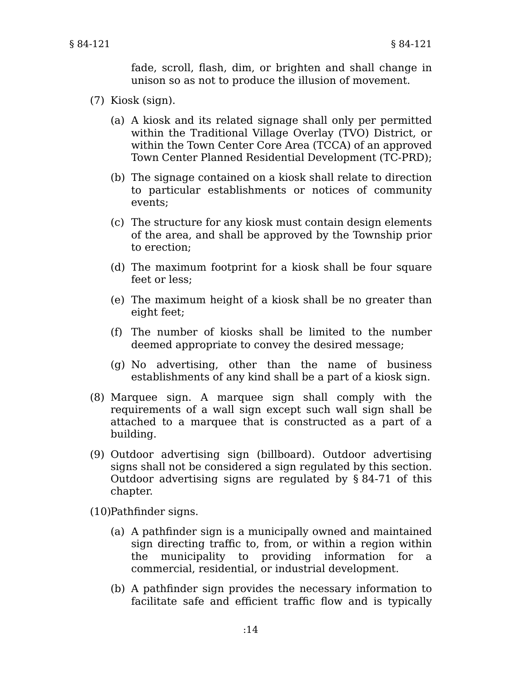fade, scroll, flash, dim, or brighten and shall change in unison so as not to produce the illusion of movement.

- (7) Kiosk (sign).
	- (a) A kiosk and its related signage shall only per permitted within the Traditional Village Overlay (TVO) District, or within the Town Center Core Area (TCCA) of an approved Town Center Planned Residential Development (TC-PRD);
	- (b) The signage contained on a kiosk shall relate to direction to particular establishments or notices of community events;
	- (c) The structure for any kiosk must contain design elements of the area, and shall be approved by the Township prior to erection;
	- (d) The maximum footprint for a kiosk shall be four square feet or less;
	- (e) The maximum height of a kiosk shall be no greater than eight feet;
	- The number of kiosks shall be limited to the number (f) deemed appropriate to convey the desired message;
	- (g) No advertising, other than the name of business establishments of any kind shall be a part of a kiosk sign.
- (8) Marquee sign. A marquee sign shall comply with the requirements of a wall sign except such wall sign shall be attached to a marquee that is constructed as a part of a building.
- (9) Outdoor advertising sign (billboard). Outdoor advertising signs shall not be considered a sign regulated by this section. Outdoor advertising signs are regulated by § 84-71 of this chapter.

(10) Pathfinder signs.

- (a) A pathfinder sign is a municipally owned and maintained sign directing traffic to, from, or within a region within the municipality to providing information for a commercial, residential, or industrial development.
- (b) A pathfinder sign provides the necessary information to facilitate safe and efficient traffic flow and is typically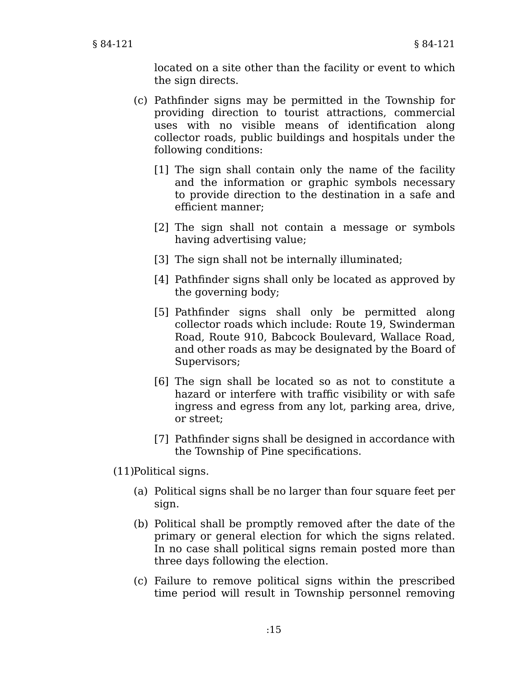located on a site other than the facility or event to which the sign directs.

- Pathfinder signs may be permitted in the Township for (c) providing direction to tourist attractions, commercial uses with no visible means of identification along collector roads, public buildings and hospitals under the following conditions:
	- [1] The sign shall contain only the name of the facility and the information or graphic symbols necessary to provide direction to the destination in a safe and efficient manner;
	- [2] The sign shall not contain a message or symbols having advertising value;
	- [3] The sign shall not be internally illuminated;
	- Pathfinder signs shall only be located as approved by [4] the governing body;
	- Pathfinder signs shall only be permitted along [5] collector roads which include: Route 19, Swinderman Road, Route 910, Babcock Boulevard, Wallace Road, and other roads as may be designated by the Board of Supervisors;
	- [6] The sign shall be located so as not to constitute a hazard or interfere with traffic visibility or with safe ingress and egress from any lot, parking area, drive, or street;
	- [7] Pathfinder signs shall be designed in accordance with the Township of Pine specifications.

 $(11)$ Political signs.

- Political signs shall be no larger than four square feet per (a) sign.
- (b) Political shall be promptly removed after the date of the primary or general election for which the signs related. In no case shall political signs remain posted more than three days following the election.
- Failure to remove political signs within the prescribed (c) time period will result in Township personnel removing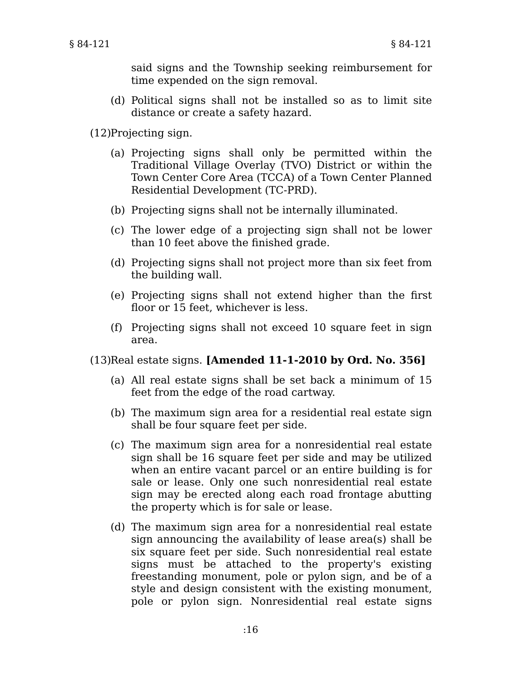said signs and the Township seeking reimbursement for time expended on the sign removal.

(d) Political signs shall not be installed so as to limit site distance or create a safety hazard.

(12)Projecting sign.

- (a) Projecting signs shall only be permitted within the Traditional Village Overlay (TVO) District or within the Town Center Core Area (TCCA) of a Town Center Planned Residential Development (TC-PRD).
- (b) Projecting signs shall not be internally illuminated.
- (c) The lower edge of a projecting sign shall not be lower than 10 feet above the finished grade.
- (d) Projecting signs shall not project more than six feet from the building wall.
- (e) Projecting signs shall not extend higher than the first floor or 15 feet, whichever is less.
- Projecting signs shall not exceed 10 square feet in sign (f) area.

Real estate signs. **[Amended 11-1-2010 by Ord. No. 356]** (13)

- All real estate signs shall be set back a minimum of 15 (a) feet from the edge of the road cartway.
- (b) The maximum sign area for a residential real estate sign shall be four square feet per side.
- (c) The maximum sign area for a nonresidential real estate sign shall be 16 square feet per side and may be utilized when an entire vacant parcel or an entire building is for sale or lease. Only one such nonresidential real estate sign may be erected along each road frontage abutting the property which is for sale or lease.
- (d) The maximum sign area for a nonresidential real estate sign announcing the availability of lease area(s) shall be six square feet per side. Such nonresidential real estate signs must be attached to the property's existing freestanding monument, pole or pylon sign, and be of a style and design consistent with the existing monument, pole or pylon sign. Nonresidential real estate signs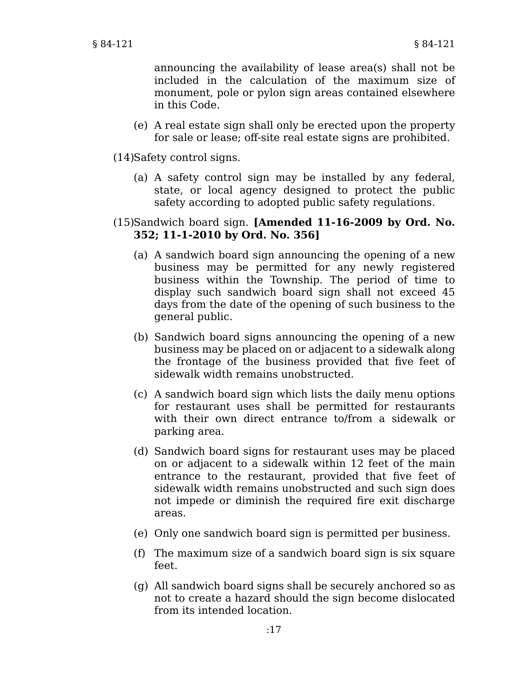announcing the availability of lease area(s) shall not be included in the calculation of the maximum size of monument, pole or pylon sign areas contained elsewhere in this Code.

A real estate sign shall only be erected upon the property (e) for sale or lease; off-site real estate signs are prohibited.

(14) Safety control signs.

(a) A safety control sign may be installed by any federal, state, or local agency designed to protect the public safety according to adopted public safety regulations.

## (15)Sandwich board sign. **[Amended 11-16-2009 by Ord. No. 352; 11-1-2010 by Ord. No. 356]**

- (a) A sandwich board sign announcing the opening of a new business may be permitted for any newly registered business within the Township. The period of time to display such sandwich board sign shall not exceed 45 days from the date of the opening of such business to the general public.
- (b) Sandwich board signs announcing the opening of a new business may be placed on or adjacent to a sidewalk along the frontage of the business provided that five feet of sidewalk width remains unobstructed.
- A sandwich board sign which lists the daily menu options (c) for restaurant uses shall be permitted for restaurants with their own direct entrance to/from a sidewalk or parking area.
- (d) Sandwich board signs for restaurant uses may be placed on or adjacent to a sidewalk within 12 feet of the main entrance to the restaurant, provided that five feet of sidewalk width remains unobstructed and such sign does not impede or diminish the required fire exit discharge areas.
- (e) Only one sandwich board sign is permitted per business.
- The maximum size of a sandwich board sign is six square (f) feet.
- All sandwich board signs shall be securely anchored so as (g) not to create a hazard should the sign become dislocated from its intended location.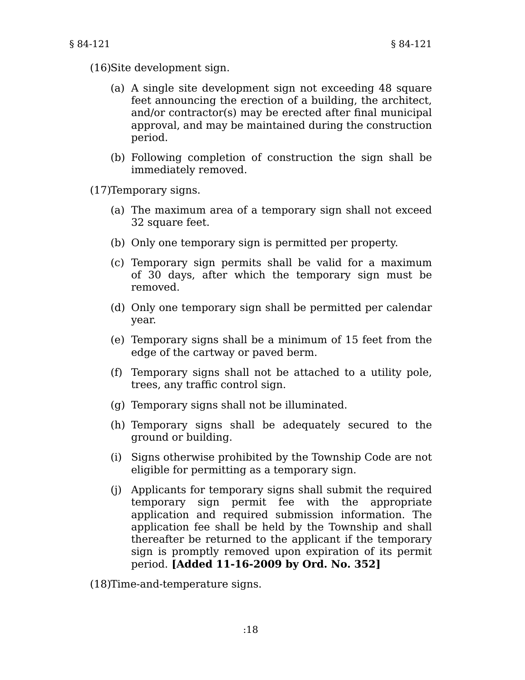- (16) Site development sign.
	- (a) A single site development sign not exceeding 48 square feet announcing the erection of a building, the architect, and/or contractor(s) may be erected after final municipal approval, and may be maintained during the construction period.
	- Following completion of construction the sign shall be (b) immediately removed.

(17) Temporary signs.

- (a) The maximum area of a temporary sign shall not exceed 32 square feet.
- (b) Only one temporary sign is permitted per property.
- (c) Temporary sign permits shall be valid for a maximum of 30 days, after which the temporary sign must be removed.
- (d) Only one temporary sign shall be permitted per calendar year.
- Temporary signs shall be a minimum of 15 feet from the (e) edge of the cartway or paved berm.
- Temporary signs shall not be attached to a utility pole, (f) trees, any traffic control sign.
- (g) Temporary signs shall not be illuminated.
- (h) Temporary signs shall be adequately secured to the ground or building.
- (i) Signs otherwise prohibited by the Township Code are not eligible for permitting as a temporary sign.
- Applicants for temporary signs shall submit the required (j) temporary sign permit fee with the appropriate application and required submission information. The application fee shall be held by the Township and shall thereafter be returned to the applicant if the temporary sign is promptly removed upon expiration of its permit period. **[Added 11-16-2009 by Ord. No. 352]**

(18)Time-and-temperature signs.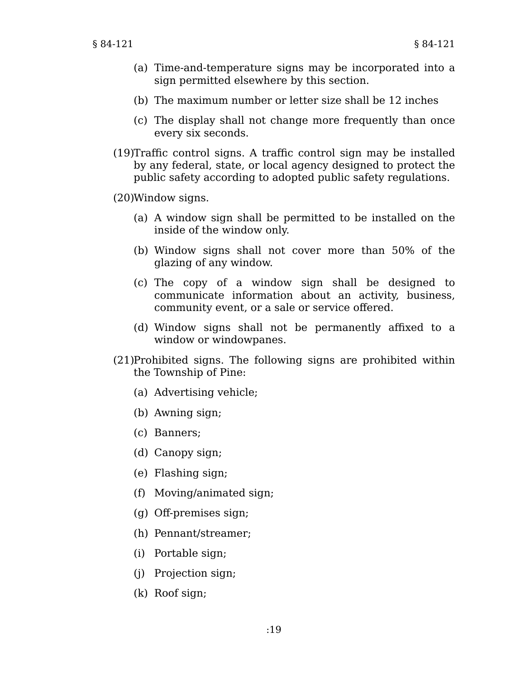- (a) Time-and-temperature signs may be incorporated into a sign permitted elsewhere by this section.
- (b) The maximum number or letter size shall be 12 inches
- (c) The display shall not change more frequently than once every six seconds.
- $(19)$ Traffic control signs. A traffic control sign may be installed by any federal, state, or local agency designed to protect the public safety according to adopted public safety regulations.

Window signs. (20)

- (a) A window sign shall be permitted to be installed on the inside of the window only.
- (b) Window signs shall not cover more than 50% of the glazing of any window.
- (c) The copy of a window sign shall be designed to communicate information about an activity, business, community event, or a sale or service offered.
- Window signs shall not be permanently affixed to a (d) window or windowpanes.
- (21) Prohibited signs. The following signs are prohibited within the Township of Pine:
	- (a) Advertising vehicle;
	- (b) Awning sign;
	- (c) Banners;
	- (d) Canopy sign;
	- (e) Flashing sign;
	- (f) Moving/animated sign;
	- (g) Off-premises sign;
	- (h) Pennant/streamer;
	- (i) Portable sign;
	- (j) Projection sign;
	- (k) Roof sign;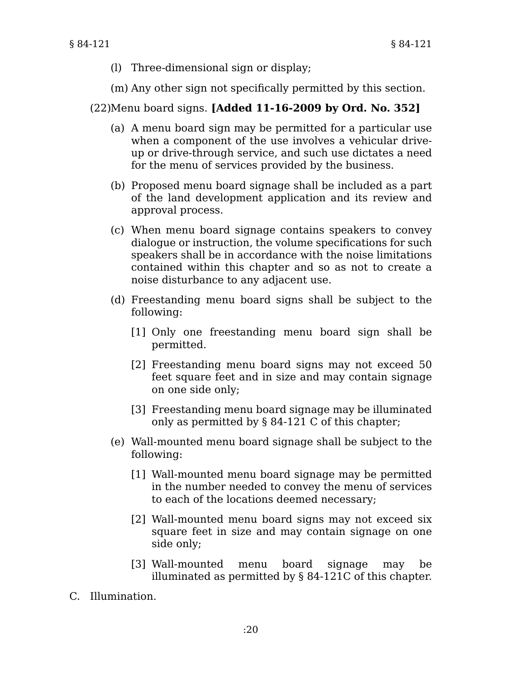- (l) Three-dimensional sign or display;
- (m) Any other sign not specifically permitted by this section.

## Menu board signs. **[Added 11-16-2009 by Ord. No. 352]** (22)

- (a) A menu board sign may be permitted for a particular use when a component of the use involves a vehicular driveup or drive-through service, and such use dictates a need for the menu of services provided by the business.
- (b) Proposed menu board signage shall be included as a part of the land development application and its review and approval process.
- When menu board signage contains speakers to convey (c) dialogue or instruction, the volume specifications for such speakers shall be in accordance with the noise limitations contained within this chapter and so as not to create a noise disturbance to any adjacent use.
- (d) Freestanding menu board signs shall be subject to the following:
	- [1] Only one freestanding menu board sign shall be permitted.
	- [2] Freestanding menu board signs may not exceed 50 feet square feet and in size and may contain signage on one side only;
	- [3] Freestanding menu board signage may be illuminated only as permitted by § 84-121 C of this chapter;
- Wall-mounted menu board signage shall be subject to the (e) following:
	- Wall-mounted menu board signage may be permitted [1] in the number needed to convey the menu of services to each of the locations deemed necessary;
	- Wall-mounted menu board signs may not exceed six [2] square feet in size and may contain signage on one side only;
	- Wall-mounted menu board signage may be [3] illuminated as permitted by § 84-121C of this chapter.
- C. Illumination.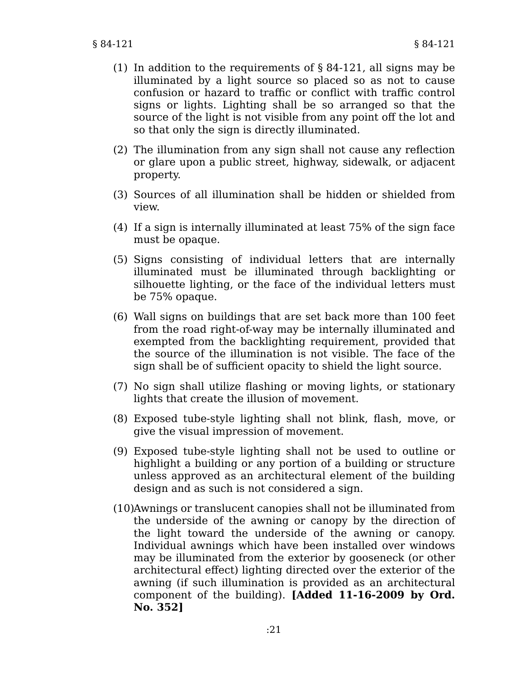- (1) In addition to the requirements of  $\S$  84-121, all signs may be illuminated by a light source so placed so as not to cause confusion or hazard to traffic or conflict with traffic control signs or lights. Lighting shall be so arranged so that the source of the light is not visible from any point off the lot and so that only the sign is directly illuminated.
- (2) The illumination from any sign shall not cause any reflection or glare upon a public street, highway, sidewalk, or adjacent property.
- (3) Sources of all illumination shall be hidden or shielded from view.
- (4) If a sign is internally illuminated at least 75% of the sign face must be opaque.
- (5) Signs consisting of individual letters that are internally illuminated must be illuminated through backlighting or silhouette lighting, or the face of the individual letters must be 75% opaque.
- Wall signs on buildings that are set back more than 100 feet (6) from the road right-of-way may be internally illuminated and exempted from the backlighting requirement, provided that the source of the illumination is not visible. The face of the sign shall be of sufficient opacity to shield the light source.
- (7) No sign shall utilize flashing or moving lights, or stationary lights that create the illusion of movement.
- Exposed tube-style lighting shall not blink, flash, move, or (8) give the visual impression of movement.
- Exposed tube-style lighting shall not be used to outline or (9) highlight a building or any portion of a building or structure unless approved as an architectural element of the building design and as such is not considered a sign.
- (10)Awnings or translucent canopies shall not be illuminated from the underside of the awning or canopy by the direction of the light toward the underside of the awning or canopy. Individual awnings which have been installed over windows may be illuminated from the exterior by gooseneck (or other architectural effect) lighting directed over the exterior of the awning (if such illumination is provided as an architectural component of the building). **[Added 11-16-2009 by Ord. No. 352]**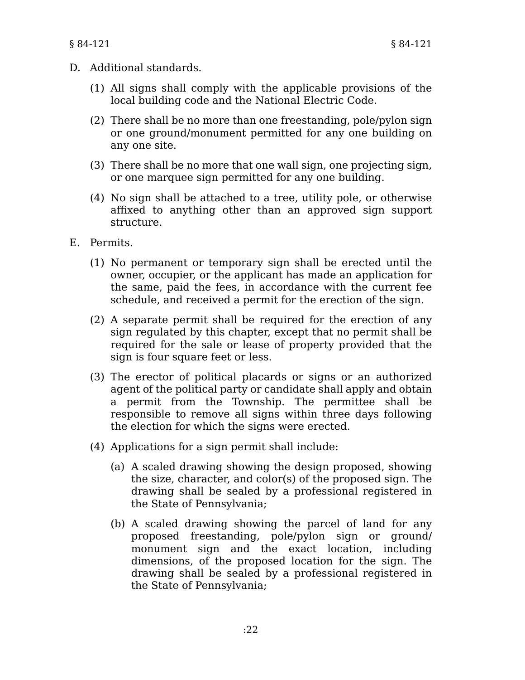- D. Additional standards.
	- (1) All signs shall comply with the applicable provisions of the local building code and the National Electric Code.
	- (2) There shall be no more than one freestanding, pole/pylon sign or one ground/monument permitted for any one building on any one site.
	- (3) There shall be no more that one wall sign, one projecting sign, or one marquee sign permitted for any one building.
	- (4) No sign shall be attached to a tree, utility pole, or otherwise affixed to anything other than an approved sign support structure.
- E. Permits.
	- (1) No permanent or temporary sign shall be erected until the owner, occupier, or the applicant has made an application for the same, paid the fees, in accordance with the current fee schedule, and received a permit for the erection of the sign.
	- (2) A separate permit shall be required for the erection of any sign regulated by this chapter, except that no permit shall be required for the sale or lease of property provided that the sign is four square feet or less.
	- (3) The erector of political placards or signs or an authorized agent of the political party or candidate shall apply and obtain a permit from the Township. The permittee shall be responsible to remove all signs within three days following the election for which the signs were erected.
	- (4) Applications for a sign permit shall include:
		- (a) A scaled drawing showing the design proposed, showing the size, character, and color(s) of the proposed sign. The drawing shall be sealed by a professional registered in the State of Pennsylvania;
		- (b) A scaled drawing showing the parcel of land for any proposed freestanding, pole/pylon sign or ground/ monument sign and the exact location, including dimensions, of the proposed location for the sign. The drawing shall be sealed by a professional registered in the State of Pennsylvania;